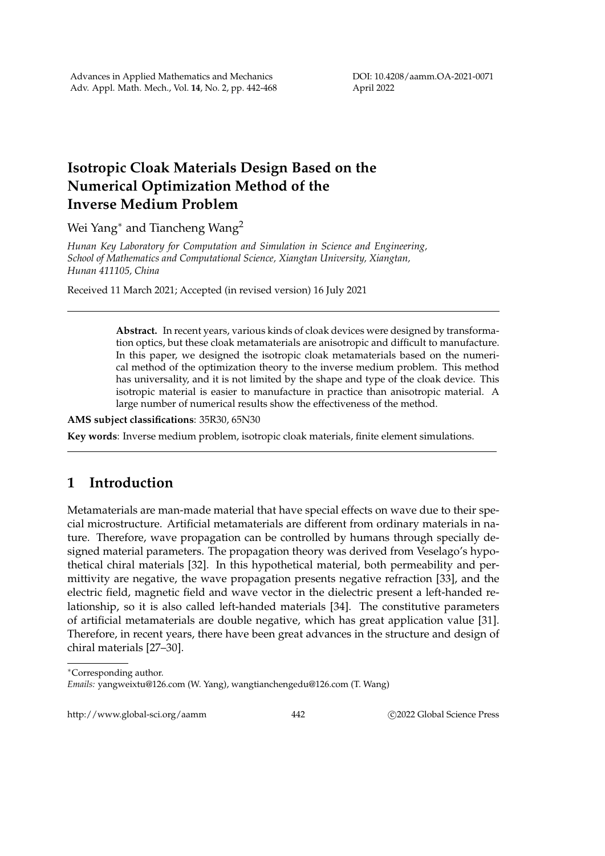## **Isotropic Cloak Materials Design Based on the Numerical Optimization Method of the Inverse Medium Problem**

Wei Yang<sup>∗</sup> and Tiancheng Wang<sup>2</sup>

*Hunan Key Laboratory for Computation and Simulation in Science and Engineering, School of Mathematics and Computational Science, Xiangtan University, Xiangtan, Hunan 411105, China*

Received 11 March 2021; Accepted (in revised version) 16 July 2021

**Abstract.** In recent years, various kinds of cloak devices were designed by transformation optics, but these cloak metamaterials are anisotropic and difficult to manufacture. In this paper, we designed the isotropic cloak metamaterials based on the numerical method of the optimization theory to the inverse medium problem. This method has universality, and it is not limited by the shape and type of the cloak device. This isotropic material is easier to manufacture in practice than anisotropic material. A large number of numerical results show the effectiveness of the method.

**AMS subject classifications**: 35R30, 65N30

**Key words**: Inverse medium problem, isotropic cloak materials, finite element simulations.

## **1 Introduction**

Metamaterials are man-made material that have special effects on wave due to their special microstructure. Artificial metamaterials are different from ordinary materials in nature. Therefore, wave propagation can be controlled by humans through specially designed material parameters. The propagation theory was derived from Veselago's hypothetical chiral materials [32]. In this hypothetical material, both permeability and permittivity are negative, the wave propagation presents negative refraction [33], and the electric field, magnetic field and wave vector in the dielectric present a left-handed relationship, so it is also called left-handed materials [34]. The constitutive parameters of artificial metamaterials are double negative, which has great application value [31]. Therefore, in recent years, there have been great advances in the structure and design of chiral materials [27–30].

http://www.global-sci.org/aamm 442 
c 2022 Global Science Press

<sup>∗</sup>Corresponding author.

*Emails:* yangweixtu@126.com (W. Yang), wangtianchengedu@126.com (T. Wang)